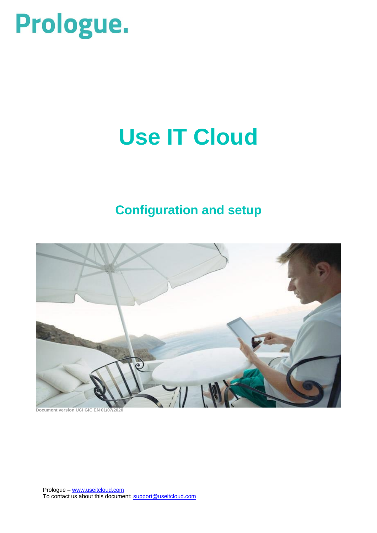# Prologue.

# **Use IT Cloud**

# **Configuration and setup**



**Document version UCI GIC EN 01/07/2020**

Prologue – [www.useitcloud.com](http://www.useitcloud.com/) To contact us about this document: [support@useitcloud.com](mailto:support@useitcloud.com)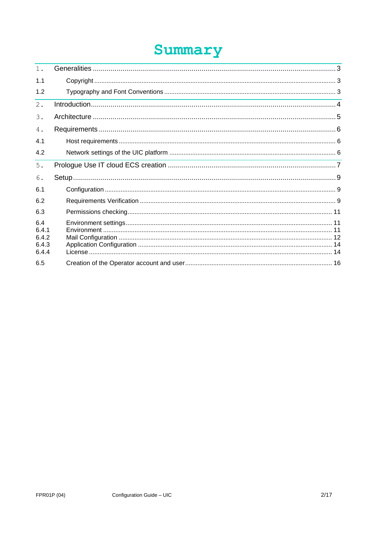# Summary

| 1.                                      |  |
|-----------------------------------------|--|
| 1.1                                     |  |
| 1.2                                     |  |
| 2.                                      |  |
| 3.                                      |  |
| 4.                                      |  |
| 4.1                                     |  |
| 4.2                                     |  |
| 5.                                      |  |
| 6.                                      |  |
| 6.1                                     |  |
| 6.2                                     |  |
| 6.3                                     |  |
| 6.4<br>6.4.1<br>6.4.2<br>6.4.3<br>6.4.4 |  |
| 6.5                                     |  |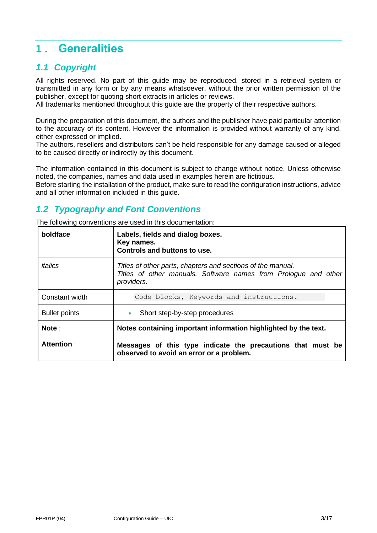## **1. Generalities**

## *1.1 Copyright*

All rights reserved. No part of this guide may be reproduced, stored in a retrieval system or transmitted in any form or by any means whatsoever, without the prior written permission of the publisher, except for quoting short extracts in articles or reviews.

All trademarks mentioned throughout this guide are the property of their respective authors.

During the preparation of this document, the authors and the publisher have paid particular attention to the accuracy of its content. However the information is provided without warranty of any kind, either expressed or implied.

The authors, resellers and distributors can't be held responsible for any damage caused or alleged to be caused directly or indirectly by this document.

The information contained in this document is subject to change without notice. Unless otherwise noted, the companies, names and data used in examples herein are fictitious.

Before starting the installation of the product, make sure to read the configuration instructions, advice and all other information included in this guide.

## *1.2 Typography and Font Conventions*

The following conventions are used in this documentation:

| boldface             | Labels, fields and dialog boxes.<br>Key names.<br>Controls and buttons to use.                                                               |
|----------------------|----------------------------------------------------------------------------------------------------------------------------------------------|
| italics              | Titles of other parts, chapters and sections of the manual.<br>Titles of other manuals. Software names from Prologue and other<br>providers. |
| Constant width       | Code blocks, Keywords and instructions.                                                                                                      |
| <b>Bullet points</b> | Short step-by-step procedures                                                                                                                |
| Note:                | Notes containing important information highlighted by the text.                                                                              |
| Attention:           | Messages of this type indicate the precautions that must be<br>observed to avoid an error or a problem.                                      |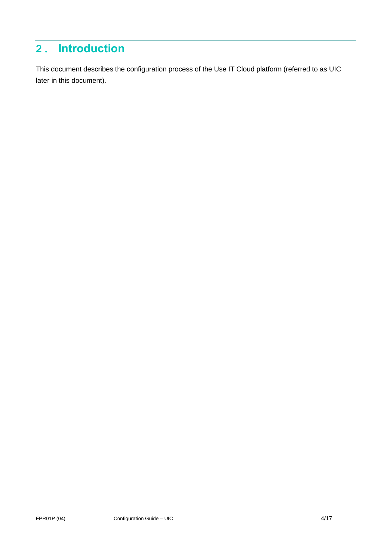## **2. Introduction**

This document describes the configuration process of the Use IT Cloud platform (referred to as UIC later in this document).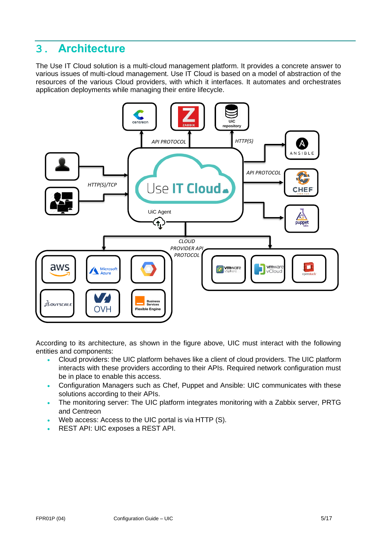## **3. Architecture**

The Use IT Cloud solution is a multi-cloud management platform. It provides a concrete answer to various issues of multi-cloud management. Use IT Cloud is based on a model of abstraction of the resources of the various Cloud providers, with which it interfaces. It automates and orchestrates application deployments while managing their entire lifecycle.



According to its architecture, as shown in the figure above, UIC must interact with the following entities and components:

- Cloud providers: the UIC platform behaves like a client of cloud providers. The UIC platform interacts with these providers according to their APIs. Required network configuration must be in place to enable this access.
- Configuration Managers such as Chef, Puppet and Ansible: UIC communicates with these solutions according to their APIs.
- The monitoring server: The UIC platform integrates monitoring with a Zabbix server, PRTG and Centreon
- Web access: Access to the UIC portal is via HTTP (S).
- REST API: UIC exposes a REST API.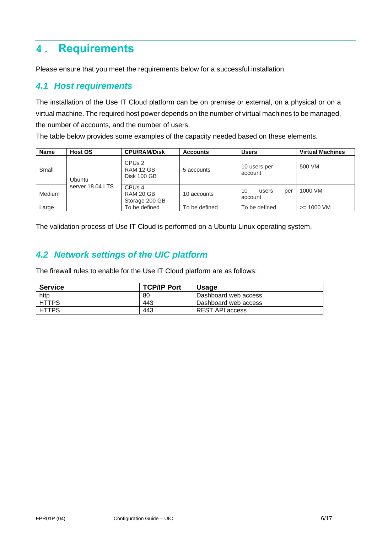## **4. Requirements**

Please ensure that you meet the requirements below for a successful installation.

#### *4.1 Host requirements*

The installation of the Use IT Cloud platform can be on premise or external, on a physical or on a virtual machine. The required host power depends on the number of virtual machines to be managed, the number of accounts, and the number of users.

The table below provides some examples of the capacity needed based on these elements.

| <b>Name</b> | <b>Host OS</b>   | <b>CPU/RAM/Disk</b>                               | <b>Accounts</b> | Users                         | <b>Virtual Machines</b> |
|-------------|------------------|---------------------------------------------------|-----------------|-------------------------------|-------------------------|
| Small       | Ubuntu           | CPU <sub>s</sub> 2<br>RAM 12 GB<br>Disk 100 GB    | 5 accounts      | 10 users per<br>account       | 500 VM                  |
| Medium      | server 18.04 LTS | CPU <sub>s</sub> 4<br>RAM 20 GB<br>Storage 200 GB | 10 accounts     | 10<br>per<br>users<br>account | 1000 VM                 |
| Large       |                  | To be defined                                     | To be defined   | To be defined                 | $>= 1000$ VM            |

The validation process of Use IT Cloud is performed on a Ubuntu Linux operating system.

## *4.2 Network settings of the UIC platform*

The firewall rules to enable for the Use IT Cloud platform are as follows:

| <b>Service</b> | <b>TCP/IP Port</b> | <b>Usage</b>         |
|----------------|--------------------|----------------------|
| http           | 80                 | Dashboard web access |
| <b>HTTPS</b>   | 443                | Dashboard web access |
| <b>HTTPS</b>   | 443                | REST API access      |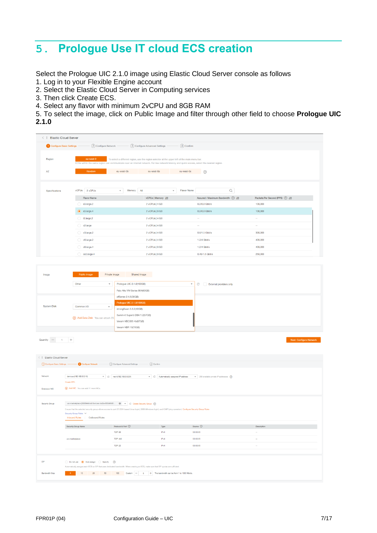## **5. Prologue Use IT cloud ECS creation**

Select the Prologue UIC 2.1.0 image using Elastic Cloud Server console as follows

- 1. Log in to your Flexible Engine account
- 2. Select the Elastic Cloud Server in Computing services
- 3. Then click Create ECS.
- 4. Select any flavor with minimum 2vCPU and 8GB RAM
- 5. To select the image, click on Public Image and filter through other field to choose **Prologue UIC 2.1.0**

| <b>Elastic Cloud Server</b> |                                                                                                                                            |                                           |                                                                                               |                                         |                                    |   |                                 |  |
|-----------------------------|--------------------------------------------------------------------------------------------------------------------------------------------|-------------------------------------------|-----------------------------------------------------------------------------------------------|-----------------------------------------|------------------------------------|---|---------------------------------|--|
| Configure Basic Settings    | (2) Configure Network                                                                                                                      |                                           | 3 Configure Advanced Settings                                                                 | (4) Confirm                             |                                    |   |                                 |  |
|                             |                                                                                                                                            |                                           |                                                                                               |                                         |                                    |   |                                 |  |
| Region                      | eu-west-0                                                                                                                                  |                                           | To select a different region, use the region selector at the upper left of the main menu bar. |                                         |                                    |   |                                 |  |
|                             | ECSs within the same region can communicate over an internal network. For low network latency and quick access, select the nearest region. |                                           |                                                                                               |                                         |                                    |   |                                 |  |
| <b>AZ</b>                   | Random                                                                                                                                     | eu-west-0b                                | eu-west-0a                                                                                    | eu-west-0c                              | $^{\circ}$                         |   |                                 |  |
|                             |                                                                                                                                            |                                           |                                                                                               |                                         |                                    |   |                                 |  |
|                             |                                                                                                                                            |                                           |                                                                                               |                                         |                                    |   |                                 |  |
| Specifications              | vCPUs<br>2 vCPUs                                                                                                                           | Memory<br>All<br>$\overline{\phantom{a}}$ |                                                                                               | Flavor Name<br>$\overline{\phantom{a}}$ |                                    | Q |                                 |  |
|                             | <b>Flavor Name</b>                                                                                                                         |                                           | vCPUs   Memory JΞ                                                                             |                                         | Assured / Maximum Bandwidth (?) J= |   | Packets Per Second (PPS) (?) JE |  |
|                             | $\bigcirc$ s3.large.2                                                                                                                      |                                           | 2 vCPUs   4 GB                                                                                |                                         | $0.2/0.8$ Gbit/s                   |   | 100,000                         |  |
|                             | $\odot$ s3.large.4                                                                                                                         |                                           | 2 vCPUs   8 GB                                                                                |                                         | 0.2/0.8 Gbit/s                     |   | 100,000                         |  |
|                             | $2.$ large.2                                                                                                                               |                                           | 2 vCPUs   4 GB                                                                                |                                         | $\sim$                             |   | $\sim$                          |  |
|                             | $\bigcirc$ c2.large                                                                                                                        |                                           | 2 vCPUs   4 GB                                                                                |                                         | $\sim$                             |   | $\sim$                          |  |
|                             | $\bigcirc$ c3.large.2                                                                                                                      |                                           | 2 vCPUs   4 GB                                                                                |                                         | 0.6/1.5 Gbit/s                     |   | 300,000                         |  |
|                             | $\bigcirc$ c6.large.2                                                                                                                      |                                           | 2 vCPUs   4 GB                                                                                |                                         | 1.2/4 Gbit/s                       |   | 400,000                         |  |
|                             | $\bigcirc$ c6.large.4                                                                                                                      |                                           | 2 vCPUs   8 GB                                                                                |                                         | 1.2/4 Gbit/s                       |   | 400,000                         |  |
|                             | $\bigcirc$ cc3.large.4                                                                                                                     |                                           | 2 vCPUs   8 GB                                                                                |                                         | 0.45/1.5 Gbit/s                    |   | 250,000                         |  |

| Image                          | Public image                                                                | Private image<br>Shared image                                                                                                                                                                                                                                  |                                                                               |                                                                                                    |                                |
|--------------------------------|-----------------------------------------------------------------------------|----------------------------------------------------------------------------------------------------------------------------------------------------------------------------------------------------------------------------------------------------------------|-------------------------------------------------------------------------------|----------------------------------------------------------------------------------------------------|--------------------------------|
|                                | Other<br>$\overline{\mathbf{v}}$                                            | Prologue UIC 2.1.0(100GB)                                                                                                                                                                                                                                      |                                                                               | $\hspace{0.1mm}\raisebox{-0.2mm}{\text{-}}\hspace{0.1mm}$<br>$_{\rm C}$<br>External providers only |                                |
|                                |                                                                             | Palo Alto VM Series 904(60GB)                                                                                                                                                                                                                                  |                                                                               |                                                                                                    |                                |
|                                |                                                                             | pfSense 2.4.5(30GB)                                                                                                                                                                                                                                            |                                                                               |                                                                                                    |                                |
| <b>System Disk</b>             | Common I/O<br>$\mathbf{v}$                                                  | Prologue UIC 2.1.0(100GB)                                                                                                                                                                                                                                      |                                                                               |                                                                                                    |                                |
|                                |                                                                             | strongSwan 5.6.2(40GB)                                                                                                                                                                                                                                         |                                                                               |                                                                                                    |                                |
|                                | Add Data Disk You can attach 23                                             | Summ-it Superb DBA 1.2(67GB)                                                                                                                                                                                                                                   |                                                                               |                                                                                                    |                                |
|                                |                                                                             | Veeam VBO365 4b(67GB)<br>Veeam VBR 10(70GB)                                                                                                                                                                                                                    |                                                                               |                                                                                                    |                                |
|                                |                                                                             |                                                                                                                                                                                                                                                                |                                                                               |                                                                                                    |                                |
|                                |                                                                             |                                                                                                                                                                                                                                                                |                                                                               |                                                                                                    | <b>Next: Configure Network</b> |
| <   Elastic Cloud Server       |                                                                             |                                                                                                                                                                                                                                                                |                                                                               |                                                                                                    |                                |
| (1) Configure Basic Settings - | 2 Configure Network                                                         | (4) Confirm<br>(3) Configure Advanced Settings -                                                                                                                                                                                                               |                                                                               |                                                                                                    |                                |
| Network<br>Extension NIC       | demouic(192.168.0.0/16)<br>Create VPC.<br>Add NIC You can add 11 more NICs. | $\tau$ C net-A(192.168.0.0/24)                                                                                                                                                                                                                                 | $\mathbf{\mathsf{v}}$ $\mathbf{\mathsf{C}}$ Automatically-assigned IP address | $\bullet$ 250 available private IP addresses $\circledR$                                           |                                |
| Security Group                 | Security Group Rules V<br>Inbound Rules   Outbound Rules                    | uic-marketplace (8303fe94-d41b-4cec-bd2a-655b9045 @ v C Create Security Group (2)<br>Ensure that the selected security group allows access to port 22 (SSH-based Linux login), 3389 (Windows login), and ICMP (ping operation). Configure Security Group Rules |                                                                               |                                                                                                    |                                |
|                                | Security Group Name                                                         | Protocol & Port 2                                                                                                                                                                                                                                              | Type                                                                          | Source 2                                                                                           | Description                    |
|                                |                                                                             | <b>TCP: 80</b>                                                                                                                                                                                                                                                 | IPv4                                                                          | 0.0.0.0/0                                                                                          | $\ddot{\phantom{a}}$           |
|                                | uic-marketplace                                                             | <b>TCP: 443</b>                                                                                                                                                                                                                                                | IP <sub>v4</sub>                                                              | 0.0.0.0/0                                                                                          | $\sim$                         |
|                                |                                                                             | <b>TCP: 22</b>                                                                                                                                                                                                                                                 | IPv4                                                                          | 0.0.0.0/0                                                                                          | $\sim$                         |
|                                |                                                                             |                                                                                                                                                                                                                                                                |                                                                               |                                                                                                    |                                |
| EIP                            | ◯ Do not use ● Auto assign ( Specify (?)                                    | Automatically assigns each ECS an EIP that uses dedicated bandwidth. When creating an ECS, make sure that EIP quotas are sufficient.                                                                                                                           |                                                                               |                                                                                                    |                                |
| <b>Bandwidth Size</b>          |                                                                             | 10 20 50 100 Custom - 5 + The bandwidth can be from 1 to 1000 Mbit/s.                                                                                                                                                                                          |                                                                               |                                                                                                    |                                |
|                                |                                                                             |                                                                                                                                                                                                                                                                |                                                                               |                                                                                                    |                                |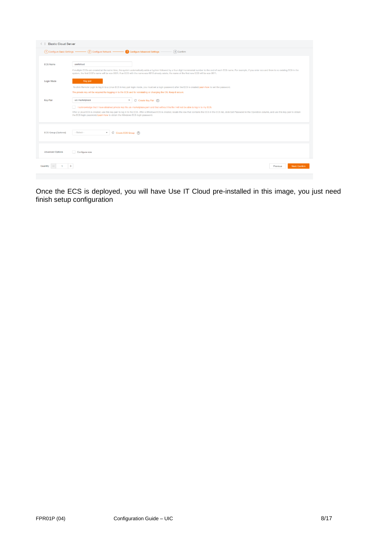| <b>Elastic Cloud Server</b> |                                                                                                                                 |                                                                                                                                                                                                                                                                                                                                                                                                      |                           |
|-----------------------------|---------------------------------------------------------------------------------------------------------------------------------|------------------------------------------------------------------------------------------------------------------------------------------------------------------------------------------------------------------------------------------------------------------------------------------------------------------------------------------------------------------------------------------------------|---------------------------|
|                             | (1) Configure Basic Settings - (2) Configure Network - 3 Configure Advanced Settings -                                          | $(4)$ Confirm                                                                                                                                                                                                                                                                                                                                                                                        |                           |
| <b>FCS Name</b>             | useitcloud                                                                                                                      | If multiple ECSs are created at the same time, the system automatically adds a hyphen followed by a four-digit incremental number to the end of each ECS name. For example, if you enter ecs and there is no existing ECS in t<br>system, the first ECS's name will be ecs-0001. If an ECS with the name ecs-0010 already exists, the name of the first new ECS will be ecs-0011.                    |                           |
| Login Mode                  | Key pair<br>The private key will be required for logging in to the ECS and for reinstalling or changing the OS. Keep it secure. | To click Remote Login to log in to a Linux ECS in key pair login mode, you must set a login password after the ECS is created.Learn how to set the password.                                                                                                                                                                                                                                         |                           |
| <b>Key Pair</b>             | uic-marketplace<br>the ECS login password. Learn how to obtain the Windows ECS login password.                                  | C Create Key Pair (?)<br>I acknowledge that I have obtained private key file uic-marketplace.pem and that without this file I will not be able to log in to my ECS.<br>After a Linux ECS is created, use this key pair to log in to the ECS. After a Windows ECS is created, locate the row that contains the ECS in the ECS list, click Get Password in the Operation column, and use this key pair |                           |
| ECS Group (Optional)        | ▼ C Create ECS Group (?)<br>$-$ Select $-$                                                                                      |                                                                                                                                                                                                                                                                                                                                                                                                      |                           |
| <b>Advanced Options</b>     | Configure now                                                                                                                   |                                                                                                                                                                                                                                                                                                                                                                                                      |                           |
|                             |                                                                                                                                 |                                                                                                                                                                                                                                                                                                                                                                                                      | Next: Confirm<br>Previous |

Once the ECS is deployed, you will have Use IT Cloud pre-installed in this image, you just need finish setup configuration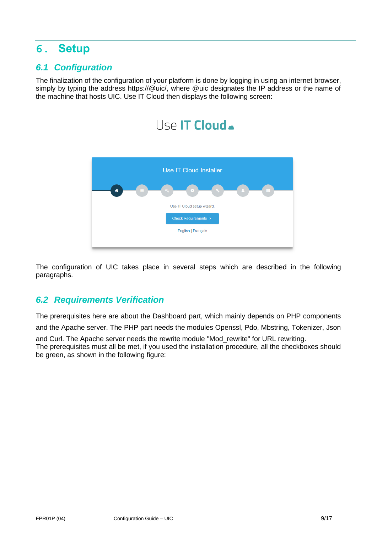## **6. Setup**

### *6.1 Configuration*

The finalization of the configuration of your platform is done by logging in using an internet browser, simply by typing the address https://@uic/, where @uic designates the IP address or the name of the machine that hosts UIC. Use IT Cloud then displays the following screen:



The configuration of UIC takes place in several steps which are described in the following paragraphs.

## *6.2 Requirements Verification*

The prerequisites here are about the Dashboard part, which mainly depends on PHP components

and the Apache server. The PHP part needs the modules Openssl, Pdo, Mbstring, Tokenizer, Json

and Curl. The Apache server needs the rewrite module "Mod\_rewrite" for URL rewriting. The prerequisites must all be met, if you used the installation procedure, all the checkboxes should be green, as shown in the following figure: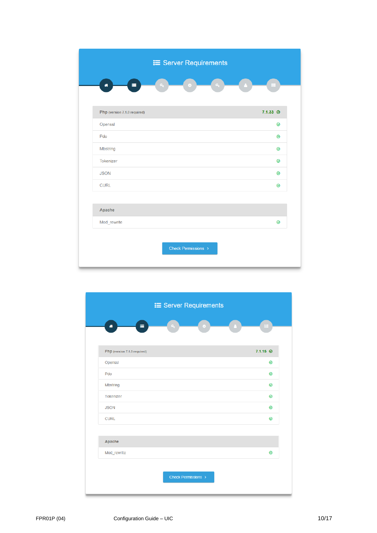|                              | <b>i≡</b> Server Requirements        |                   |
|------------------------------|--------------------------------------|-------------------|
| Ξ<br>备                       | $a_{\rm s}$<br>$\alpha_{\rm e}$<br>۰ |                   |
| Php (version 7.1.0 required) |                                      | $7.1.33 \; \odot$ |
| Openssl                      |                                      | 0                 |
| Pdo                          |                                      | 0                 |
| Mbstring                     |                                      | 0                 |
| Tokenizer                    |                                      | 0                 |
| <b>JSON</b>                  |                                      | 0                 |
| <b>CURL</b>                  |                                      | $\circledcirc$    |
|                              |                                      |                   |
| Apache                       |                                      |                   |
| Mod_rewrite                  |                                      | 0                 |
|                              | Check Permissions >                  |                   |

| E Server Requirements        |                  |
|------------------------------|------------------|
| ≡<br>聋<br>a.<br>$\bullet$    |                  |
|                              |                  |
| Php (version 7.1.0 required) | $7.1.15$ $\odot$ |
| Openssl                      | 0                |
| Pdo                          | 0                |
| Mbstring                     | 0                |
| Tokenizer                    | 0                |
| <b>JSON</b>                  | $\circledcirc$   |
| <b>CURL</b>                  | $\circledcirc$   |
|                              |                  |
| Apache                       |                  |
|                              |                  |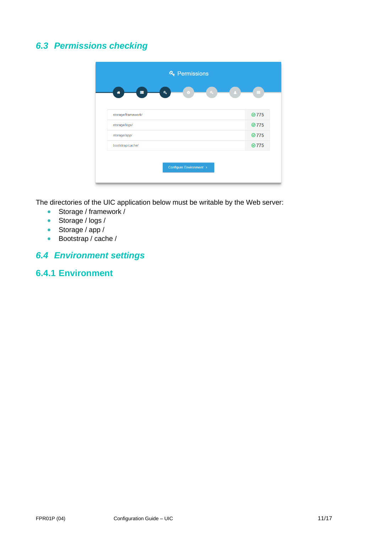## *6.3 Permissions checking*



The directories of the UIC application below must be writable by the Web server:

- Storage / framework /
- Storage / logs /
- Storage / app /
- Bootstrap / cache /

## *6.4 Environment settings*

#### **6.4.1 Environment**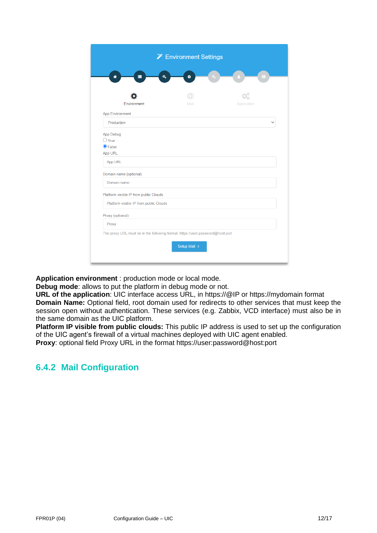|                                                                                | <b>X</b> Environment Settings |             |
|--------------------------------------------------------------------------------|-------------------------------|-------------|
| Q<br>▬                                                                         |                               |             |
| 셺                                                                              | ۰                             |             |
|                                                                                |                               |             |
| Environment                                                                    | Mail                          | Application |
| <b>App Environment</b>                                                         |                               |             |
| Production                                                                     |                               |             |
| App Debug                                                                      |                               |             |
| $\bigcirc$ True                                                                |                               |             |
| $\odot$ False                                                                  |                               |             |
| App URL                                                                        |                               |             |
| App URL                                                                        |                               |             |
| Domain name (optional)                                                         |                               |             |
| Domain name                                                                    |                               |             |
| Platform visible IP from public Clouds                                         |                               |             |
| Platform visible IP from public Clouds                                         |                               |             |
| Proxy (optional)                                                               |                               |             |
| Proxy                                                                          |                               |             |
| The proxy URL must be in the following format: https://user:password@host:port |                               |             |
|                                                                                | Setup Mail >                  |             |
|                                                                                |                               |             |

**Application environment** : production mode or local mode.

**Debug mode**: allows to put the platform in debug mode or not.

**URL of the application**: UIC interface access URL, in https://@IP or https://mydomain format **Domain Name:** Optional field, root domain used for redirects to other services that must keep the session open without authentication. These services (e.g. Zabbix, VCD interface) must also be in the same domain as the UIC platform.

**Platform IP visible from public clouds:** This public IP address is used to set up the configuration of the UIC agent's firewall of a virtual machines deployed with UIC agent enabled.

**Proxy**: optional field Proxy URL in the format https://user:password@host:port

## **6.4.2 Mail Configuration**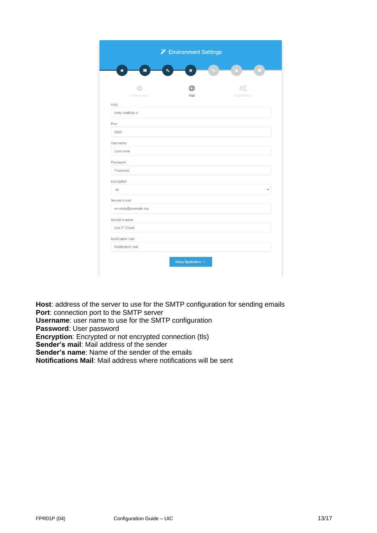| ۰<br>Mail | Application |  |
|-----------|-------------|--|
|           |             |  |
|           |             |  |
|           |             |  |
|           |             |  |
|           |             |  |
|           |             |  |
|           |             |  |
|           |             |  |
|           |             |  |
|           |             |  |
|           |             |  |
|           |             |  |
|           |             |  |
|           |             |  |
|           |             |  |
|           |             |  |
|           |             |  |
|           |             |  |
|           |             |  |
|           |             |  |

**Host**: address of the server to use for the SMTP configuration for sending emails **Port**: connection port to the SMTP server **Username**: user name to use for the SMTP configuration **Password**: User password **Encryption:** Encrypted or not encrypted connection (tls) **Sender's mail**: Mail address of the sender **Sender's name**: Name of the sender of the emails **Notifications Mail**: Mail address where notifications will be sent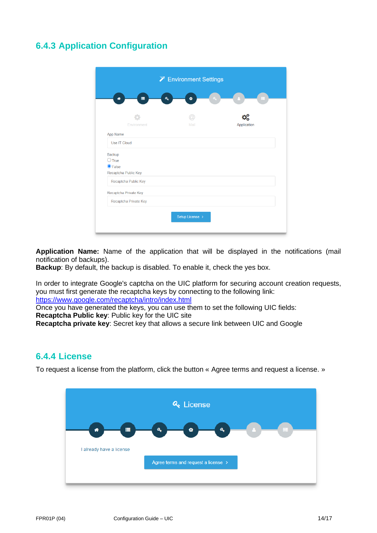## **6.4.3 Application Configuration**

|                                       | <b>X</b> Environment Settings |             |
|---------------------------------------|-------------------------------|-------------|
| ≡<br>Q<br>备                           | ۰                             |             |
|                                       |                               |             |
|                                       |                               |             |
| Environment                           | Mail                          | Application |
| App Name                              |                               |             |
| Use IT Cloud                          |                               |             |
| Backup                                |                               |             |
| $\bigcirc$ True                       |                               |             |
| $\odot$ False<br>Recaptcha Public Key |                               |             |
|                                       |                               |             |
| Recaptcha Public Key                  |                               |             |
| Recaptcha Private Key                 |                               |             |
| Recaptcha Private Key                 |                               |             |
|                                       | Setup License >               |             |
|                                       |                               |             |

**Application Name:** Name of the application that will be displayed in the notifications (mail notification of backups).

**Backup**: By default, the backup is disabled. To enable it, check the yes box.

In order to integrate Google's captcha on the UIC platform for securing account creation requests, you must first generate the recaptcha keys by connecting to the following link: <https://www.google.com/recaptcha/intro/index.html>

Once you have generated the keys, you can use them to set the following UIC fields:

**Recaptcha Public key**: Public key for the UIC site

**Recaptcha private key**: Secret key that allows a secure link between UIC and Google

#### **6.4.4 License**

To request a license from the platform, click the button « Agree terms and request a license. »

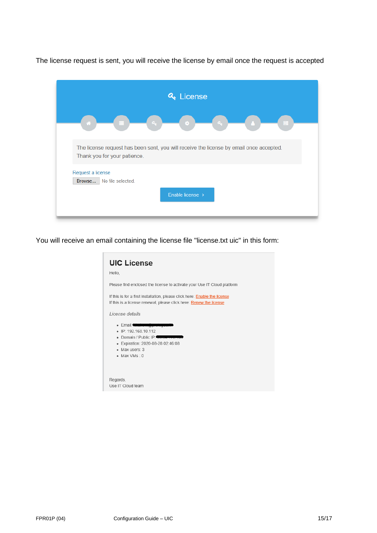The license request is sent, you will receive the license by email once the request is accepted

| & License                                                                                                               |    |
|-------------------------------------------------------------------------------------------------------------------------|----|
| a.<br>a,<br>×<br>m                                                                                                      | E. |
| The license request has been sent, you will receive the license by email once accepted.<br>Thank you for your patience. |    |
| Request a license<br>Browse<br>No file selected.<br>Enable license >                                                    |    |
|                                                                                                                         |    |

You will receive an email containing the license file "license.txt uic" in this form:

| <b>UIC License</b><br>Hello,                                                                                                                                     |
|------------------------------------------------------------------------------------------------------------------------------------------------------------------|
| Please find enclosed the license to activate your Use IT Cloud platform                                                                                          |
| If this is for a first installation, please click here: <b>Enable the license</b><br>If this is a license renewal, please click here: Renew the license          |
| License details                                                                                                                                                  |
| • Email: <del>Maulternation</del><br>• IP: 192.168.10.112<br>Domain / Public IP<br>Expiration: 2020-08-28 02:46:08<br>$\bullet$<br>· Max users: 3<br>• Max VMs 0 |
| Regards,<br>Use IT Cloud team                                                                                                                                    |
|                                                                                                                                                                  |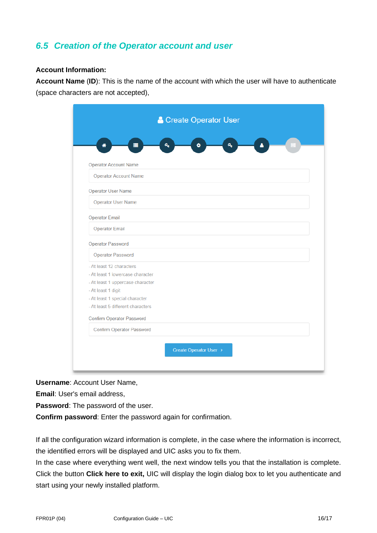### *6.5 Creation of the Operator account and user*

#### **Account Information:**

**Account Name** (**ID**): This is the name of the account with which the user will have to authenticate (space characters are not accepted),

| ≡<br>俗                            | Q<br>۰ | a, | Δ |  |
|-----------------------------------|--------|----|---|--|
|                                   |        |    |   |  |
| <b>Operator Account Name</b>      |        |    |   |  |
| <b>Operator Account Name</b>      |        |    |   |  |
| Operator User Name                |        |    |   |  |
| Operator User Name                |        |    |   |  |
| <b>Operator Email</b>             |        |    |   |  |
| <b>Operator Email</b>             |        |    |   |  |
| Operator Password                 |        |    |   |  |
| Operator Password                 |        |    |   |  |
| - At least 12 characters          |        |    |   |  |
| - At least 1 lowercase character  |        |    |   |  |
| - At least 1 uppercase character  |        |    |   |  |
| - At least 1 digit                |        |    |   |  |
| - At least 1 special character    |        |    |   |  |
| - At least 5 different characters |        |    |   |  |
| Confirm Operator Password         |        |    |   |  |
| Confirm Operator Password         |        |    |   |  |
|                                   |        |    |   |  |

**Username**: Account User Name,

**Email**: User's email address,

**Password**: The password of the user.

**Confirm password**: Enter the password again for confirmation.

If all the configuration wizard information is complete, in the case where the information is incorrect, the identified errors will be displayed and UIC asks you to fix them.

In the case where everything went well, the next window tells you that the installation is complete. Click the button **Click here to exit,** UIC will display the login dialog box to let you authenticate and start using your newly installed platform.